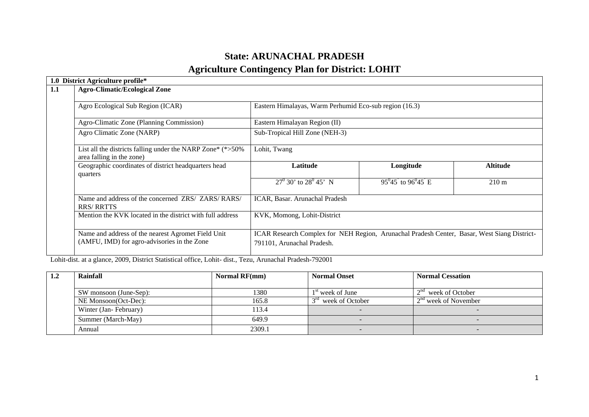# **State: ARUNACHAL PRADESH**

# **Agriculture Contingency Plan for District: LOHIT**

| District Agriculture profile*<br>1.0                                                              |                                                                                                                           |                            |                 |  |  |
|---------------------------------------------------------------------------------------------------|---------------------------------------------------------------------------------------------------------------------------|----------------------------|-----------------|--|--|
| 1.1<br><b>Agro-Climatic/Ecological Zone</b>                                                       |                                                                                                                           |                            |                 |  |  |
| Agro Ecological Sub Region (ICAR)                                                                 | Eastern Himalayas, Warm Perhumid Eco-sub region (16.3)                                                                    |                            |                 |  |  |
| Agro-Climatic Zone (Planning Commission)                                                          | Eastern Himalayan Region (II)                                                                                             |                            |                 |  |  |
| Agro Climatic Zone (NARP)                                                                         | Sub-Tropical Hill Zone (NEH-3)                                                                                            |                            |                 |  |  |
| List all the districts falling under the NARP Zone* $(*>50\%$<br>area falling in the zone)        | Lohit, Twang                                                                                                              |                            |                 |  |  |
| Geographic coordinates of district headquarters head<br>quarters                                  | Latitude                                                                                                                  | Longitude                  | <b>Altitude</b> |  |  |
|                                                                                                   | $27^{\rm 0}$ 30' to $28^{\rm 0}$ 45' N                                                                                    | $95^{0}45$ to $96^{0}45$ E | $210 \text{ m}$ |  |  |
| Name and address of the concerned ZRS/ ZARS/ RARS/<br><b>RRS/RRTTS</b>                            | ICAR, Basar. Arunachal Pradesh                                                                                            |                            |                 |  |  |
| Mention the KVK located in the district with full address                                         | KVK, Momong, Lohit-District                                                                                               |                            |                 |  |  |
| Name and address of the nearest Agromet Field Unit<br>(AMFU, IMD) for agro-advisories in the Zone | ICAR Research Complex for NEH Region, Arunachal Pradesh Center, Basar, West Siang District-<br>791101, Arunachal Pradesh. |                            |                 |  |  |

Lohit-dist. at a glance, 2009, District Statistical office, Lohit- dist., Tezu, Arunachal Pradesh-792001

| 1.2 | Rainfall               | <b>Normal RF(mm)</b> | <b>Normal Onset</b>             | <b>Normal Cessation</b> |
|-----|------------------------|----------------------|---------------------------------|-------------------------|
|     |                        |                      |                                 |                         |
|     | SW monsoon (June-Sep): | 1380                 | $1st$ week of June              | $2nd$ week of October   |
|     | NE Monsoon(Oct-Dec):   | 165.8                | 3 <sup>rd</sup> week of October | $2nd$ week of November  |
|     | Winter (Jan-February)  | 113.4                |                                 |                         |
|     | Summer (March-May)     | 649.9                | $\sim$                          |                         |
|     | Annual                 | 2309.1               | $\sim$                          |                         |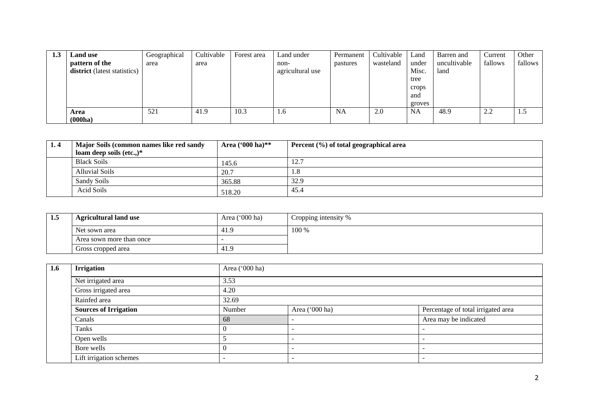| 1.3 | <b>Land</b> use              | Geographical | Cultivable | Forest area | Land under       | Permanent | Cultivable | Land      | Barren and   | Current   | Other   |
|-----|------------------------------|--------------|------------|-------------|------------------|-----------|------------|-----------|--------------|-----------|---------|
|     | pattern of the               | area         | area       |             | non-             | pastures  | wasteland  | under     | uncultivable | fallows   | fallows |
|     | district (latest statistics) |              |            |             | agricultural use |           |            | Misc.     | land         |           |         |
|     |                              |              |            |             |                  |           |            | tree      |              |           |         |
|     |                              |              |            |             |                  |           |            | crops     |              |           |         |
|     |                              |              |            |             |                  |           |            | and       |              |           |         |
|     |                              |              |            |             |                  |           |            | groves    |              |           |         |
|     | Area                         | 521          | 41.9       | 10.3        | 1.6              | <b>NA</b> | 2.0        | <b>NA</b> | 48.9         | つつ<br>4.4 | 1.5     |
|     | (000ha)                      |              |            |             |                  |           |            |           |              |           |         |

| 1.4 | Major Soils (common names like red sandy<br>loam deep soils $(\text{etc.})^*$ | Area ('000 ha)** | Percent $(\% )$ of total geographical area |
|-----|-------------------------------------------------------------------------------|------------------|--------------------------------------------|
|     | <b>Black Soils</b>                                                            | 145.6            | 12.7                                       |
|     | <b>Alluvial Soils</b>                                                         | 20.7             | 1.0                                        |
|     | Sandy Soils                                                                   | 365.88           | 32.9                                       |
|     | Acid Soils                                                                    | 518.20           | 45.4                                       |

| 1.5 | <b>Agricultural land use</b> | Area $('000 ha)$ | Cropping intensity % |
|-----|------------------------------|------------------|----------------------|
|     | Net sown area                | -41.>            | 100 %                |
|     | Area sown more than once     |                  |                      |
|     | Gross cropped area           | 41.9             |                      |

| 1.6 | <b>Irrigation</b>            | Area ('000 ha) |                |                                    |  |  |  |  |
|-----|------------------------------|----------------|----------------|------------------------------------|--|--|--|--|
|     | Net irrigated area           | 3.53           |                |                                    |  |  |  |  |
|     | Gross irrigated area         | 4.20           |                |                                    |  |  |  |  |
|     | Rainfed area                 | 32.69          |                |                                    |  |  |  |  |
|     | <b>Sources of Irrigation</b> | Number         | Area ('000 ha) | Percentage of total irrigated area |  |  |  |  |
|     | Canals                       | 68             |                | Area may be indicated              |  |  |  |  |
|     | Tanks                        | 0              |                |                                    |  |  |  |  |
|     | Open wells                   |                |                |                                    |  |  |  |  |
|     | Bore wells                   |                | -              |                                    |  |  |  |  |
|     | Lift irrigation schemes      |                |                |                                    |  |  |  |  |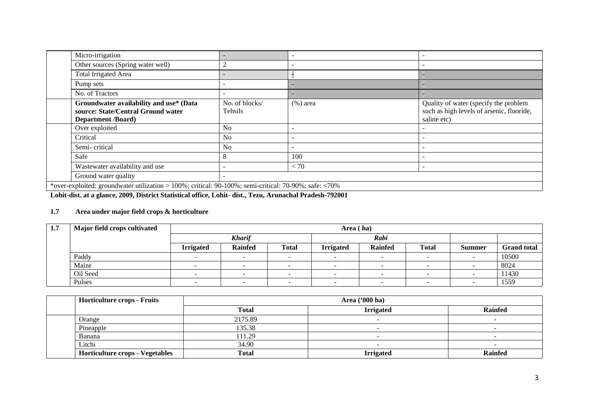| Micro-irrigation                                                                                           |                           |             |                                                                                                   |  |  |  |  |
|------------------------------------------------------------------------------------------------------------|---------------------------|-------------|---------------------------------------------------------------------------------------------------|--|--|--|--|
| Other sources (Spring water well)                                                                          |                           |             |                                                                                                   |  |  |  |  |
| Total Irrigated Area                                                                                       |                           |             |                                                                                                   |  |  |  |  |
| Pump sets                                                                                                  |                           |             |                                                                                                   |  |  |  |  |
| No. of Tractors                                                                                            |                           | <b>.</b>    |                                                                                                   |  |  |  |  |
| Groundwater availability and use* (Data<br>source: State/Central Ground water<br><b>Department</b> /Board) | No. of blocks/<br>Tehsils | $(\%)$ area | Quality of water (specify the problem<br>such as high levels of arsenic, fluoride,<br>saline etc) |  |  |  |  |
| Over exploited                                                                                             | N <sub>0</sub>            |             |                                                                                                   |  |  |  |  |
| Critical                                                                                                   | N <sub>o</sub>            |             |                                                                                                   |  |  |  |  |
| Semi-critical                                                                                              | N <sub>0</sub>            |             |                                                                                                   |  |  |  |  |
| Safe                                                                                                       |                           | 100         |                                                                                                   |  |  |  |  |
| Wastewater availability and use                                                                            |                           | < 70        |                                                                                                   |  |  |  |  |
| Ground water quality                                                                                       |                           |             |                                                                                                   |  |  |  |  |
| *over-exploited: groundwater utilization > 100%; critical: 90-100%; semi-critical: 70-90%; safe: <70%      |                           |             |                                                                                                   |  |  |  |  |

**Lohit-dist. at a glance, 2009, District Statistical office, Lohit- dist., Tezu, Arunachal Pradesh-792001**

## **1.7 Area under major field crops & horticulture**

| 1,7 | Major field crops cultivated |                  | Area (ha)      |              |                  |                |              |        |                    |  |  |
|-----|------------------------------|------------------|----------------|--------------|------------------|----------------|--------------|--------|--------------------|--|--|
|     |                              |                  | <b>Kharif</b>  |              | Rabi             |                |              |        |                    |  |  |
|     |                              | <b>Irrigated</b> | <b>Rainfed</b> | <b>Total</b> | <b>Irrigated</b> | <b>Rainfed</b> | <b>Total</b> | Summer | <b>Grand</b> total |  |  |
|     | Paddy                        |                  |                |              |                  |                | -            |        | 10500              |  |  |
|     | Maize                        |                  |                |              |                  |                |              |        | 8024               |  |  |
|     | Oil Seed                     |                  |                |              |                  |                |              |        | 11430              |  |  |
|     | Pulses                       |                  |                |              |                  |                |              |        | 1559               |  |  |

| <b>Horticulture crops - Fruits</b>     |              | Area $(900 \text{ ha})$ |                |  |  |  |  |  |  |
|----------------------------------------|--------------|-------------------------|----------------|--|--|--|--|--|--|
|                                        | <b>Total</b> | <b>Irrigated</b>        | <b>Rainfed</b> |  |  |  |  |  |  |
| Orange                                 | 2175.89      |                         |                |  |  |  |  |  |  |
| Pineapple                              | 135.38       |                         |                |  |  |  |  |  |  |
| Banana                                 | 111.29       |                         |                |  |  |  |  |  |  |
| Litchi                                 | 34.90        |                         |                |  |  |  |  |  |  |
| <b>Horticulture crops - Vegetables</b> | <b>Total</b> | <b>Irrigated</b>        | <b>Rainfed</b> |  |  |  |  |  |  |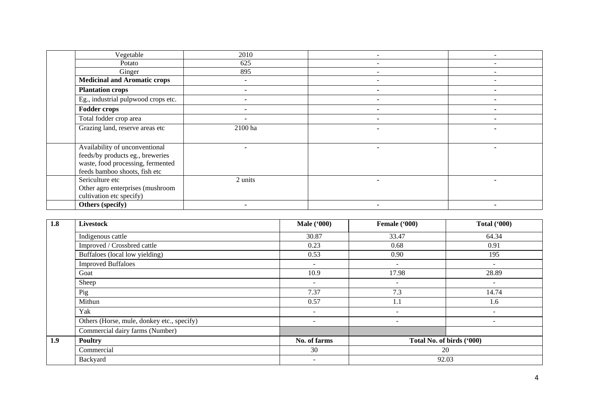| Vegetable                           | 2010    |   |
|-------------------------------------|---------|---|
| Potato                              | 625     |   |
| Ginger                              | 895     |   |
| <b>Medicinal and Aromatic crops</b> |         |   |
| <b>Plantation crops</b>             |         |   |
| Eg., industrial pulpwood crops etc. |         |   |
| <b>Fodder crops</b>                 |         |   |
| Total fodder crop area              |         | - |
| Grazing land, reserve areas etc     | 2100 ha |   |
|                                     |         |   |
| Availability of unconventional      |         |   |
| feeds/by products eg., breweries    |         |   |
| waste, food processing, fermented   |         |   |
| feeds bamboo shoots, fish etc       |         |   |
| Sericulture etc                     | 2 units |   |
| Other agro enterprises (mushroom    |         |   |
| cultivation etc specify)            |         |   |
| Others (specify)                    |         | ۰ |

| 1.8 | <b>Livestock</b>                           | <b>Male</b> ('000)       | Female ('000)                   | <b>Total ('000)</b>      |  |
|-----|--------------------------------------------|--------------------------|---------------------------------|--------------------------|--|
|     | Indigenous cattle                          | 30.87                    | 33.47                           | 64.34                    |  |
|     | Improved / Crossbred cattle                | 0.23                     | 0.68                            | 0.91                     |  |
|     | Buffaloes (local low yielding)             | 0.53                     | 0.90                            | 195                      |  |
|     | <b>Improved Buffaloes</b>                  | $\sim$                   | -                               | $\sim$                   |  |
|     | Goat                                       | 10.9                     | 17.98                           | 28.89                    |  |
|     | Sheep                                      | $\sim$                   | $\overline{\phantom{a}}$        | $\overline{\phantom{a}}$ |  |
|     | Pig                                        | 7.37                     | 7.3                             | 14.74                    |  |
|     | Mithun                                     | 0.57                     | 1.1                             | 1.6                      |  |
|     | Yak                                        | $\sim$                   | $\sim$                          | $\overline{\phantom{a}}$ |  |
|     | Others (Horse, mule, donkey etc., specify) | $\overline{\phantom{a}}$ | $\sim$                          | $\overline{\phantom{a}}$ |  |
|     | Commercial dairy farms (Number)            |                          |                                 |                          |  |
| 1.9 | <b>Poultry</b>                             | No. of farms             | Total No. of birds ('000)<br>20 |                          |  |
|     | Commercial                                 | 30                       |                                 |                          |  |
|     | Backyard                                   | ۰.                       | 92.03                           |                          |  |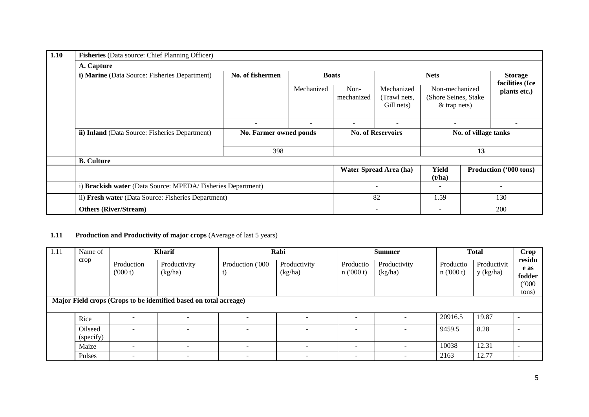| 1.10 | Fisheries (Data source: Chief Planning Officer)              |                               |              |                          |                                          |                                                           |  |                                   |  |  |
|------|--------------------------------------------------------------|-------------------------------|--------------|--------------------------|------------------------------------------|-----------------------------------------------------------|--|-----------------------------------|--|--|
|      | A. Capture                                                   |                               |              |                          |                                          |                                                           |  |                                   |  |  |
|      | i) Marine (Data Source: Fisheries Department)                | No. of fishermen              | <b>Boats</b> |                          | <b>Nets</b>                              |                                                           |  | <b>Storage</b><br>facilities (Ice |  |  |
|      |                                                              |                               | Mechanized   | Non-<br>mechanized       | Mechanized<br>(Trawl nets,<br>Gill nets) | Non-mechanized<br>(Shore Seines, Stake)<br>$&$ trap nets) |  | plants etc.)                      |  |  |
|      |                                                              |                               | ۰.           | ۰.                       |                                          | ۰                                                         |  |                                   |  |  |
|      | ii) Inland (Data Source: Fisheries Department)               | No. Farmer owned ponds<br>398 |              | <b>No. of Reservoirs</b> |                                          | No. of village tanks<br>13                                |  |                                   |  |  |
|      |                                                              |                               |              |                          |                                          |                                                           |  |                                   |  |  |
|      | <b>B.</b> Culture                                            |                               |              |                          |                                          |                                                           |  |                                   |  |  |
|      |                                                              |                               |              |                          | Water Spread Area (ha)                   | <b>Yield</b><br>(t/ha)                                    |  | <b>Production</b> ('000 tons)     |  |  |
|      | i) Brackish water (Data Source: MPEDA/ Fisheries Department) |                               |              |                          |                                          | $\overline{\phantom{a}}$                                  |  |                                   |  |  |
|      | ii) Fresh water (Data Source: Fisheries Department)          |                               |              |                          | 82                                       | 1.59                                                      |  | 130                               |  |  |
|      | <b>Others (River/Stream)</b>                                 |                               |              |                          |                                          | $\overline{\phantom{0}}$                                  |  | 200                               |  |  |

# **1.11** Production and Productivity of major crops (Average of last 5 years)

| 1.11 | Name of<br>crop                                                            | <b>Kharif</b>            |                         |                          | Rabi                    |                          | <b>Summer</b>            |                       | <b>Total</b>             |                                   |
|------|----------------------------------------------------------------------------|--------------------------|-------------------------|--------------------------|-------------------------|--------------------------|--------------------------|-----------------------|--------------------------|-----------------------------------|
|      |                                                                            | Production<br>(000 t)    | Productivity<br>(kg/ha) | Production ('000<br>U)   | Productivity<br>(kg/ha) | Productio<br>n(000 t)    | Productivity<br>(kg/ha)  | Productio<br>n(000 t) | Productivit<br>y (kg/ha) | residu<br>e as<br>fodder<br>(000) |
|      | tons)<br>Major Field crops (Crops to be identified based on total acreage) |                          |                         |                          |                         |                          |                          |                       |                          |                                   |
|      |                                                                            |                          |                         |                          |                         |                          |                          |                       |                          |                                   |
|      | Rice                                                                       |                          |                         | $\overline{\phantom{0}}$ | ۰                       | $\overline{\phantom{a}}$ |                          | 20916.5               | 19.87                    |                                   |
|      | Oilseed<br>(specify)                                                       | $\overline{\phantom{0}}$ |                         |                          |                         | $\overline{\phantom{a}}$ |                          | 9459.5                | 8.28                     |                                   |
|      | Maize                                                                      | $\overline{\phantom{a}}$ |                         | $\overline{\phantom{0}}$ |                         | $\overline{\phantom{a}}$ | $\overline{\phantom{0}}$ | 10038                 | 12.31                    |                                   |
|      | Pulses                                                                     |                          |                         | ۰                        |                         | $\overline{\phantom{a}}$ |                          | 2163                  | 12.77                    |                                   |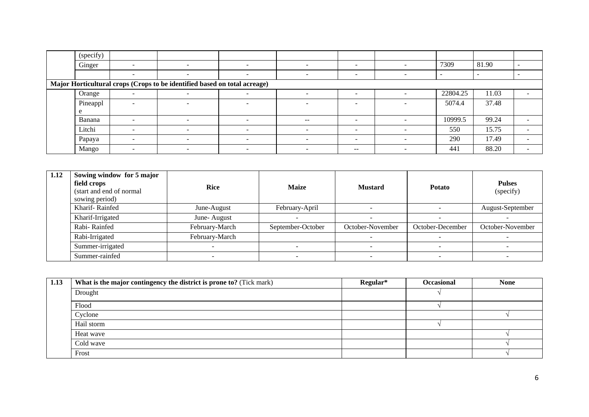| (specify) |                          |                                                                           |                              |                          |                          |          |       |                          |
|-----------|--------------------------|---------------------------------------------------------------------------|------------------------------|--------------------------|--------------------------|----------|-------|--------------------------|
| Ginger    |                          |                                                                           | -                            | $\overline{\phantom{a}}$ |                          | 7309     | 81.90 |                          |
|           | -                        | $\overline{\phantom{0}}$                                                  | $\overline{\phantom{a}}$     | $\overline{\phantom{0}}$ | -                        | -        |       |                          |
|           |                          | Major Horticultural crops (Crops to be identified based on total acreage) |                              |                          |                          |          |       |                          |
| Orange    | $\overline{\phantom{0}}$ |                                                                           |                              | $\overline{\phantom{a}}$ |                          | 22804.25 | 11.03 | $\sim$                   |
| Pineappl  | -                        |                                                                           | -                            | $\overline{\phantom{0}}$ |                          | 5074.4   | 37.48 |                          |
|           |                          |                                                                           |                              |                          |                          |          |       |                          |
| Banana    | $\overline{\phantom{0}}$ | $\overline{\phantom{0}}$                                                  | $\qquad \qquad \blacksquare$ | $- -$                    | $\overline{\phantom{0}}$ | 10999.5  | 99.24 | $\overline{\phantom{a}}$ |
| Litchi    |                          |                                                                           |                              |                          |                          | 550      | 15.75 |                          |
| Papaya    |                          | $\overline{\phantom{0}}$                                                  | $\qquad \qquad \blacksquare$ | $\overline{\phantom{0}}$ | -                        | 290      | 17.49 |                          |
| Mango     | -                        | $\overline{\phantom{0}}$                                                  | $\overline{\phantom{0}}$     | $\overline{\phantom{a}}$ | $- -$                    | 441      | 88.20 |                          |

| 1.12 | Sowing window for 5 major<br>field crops<br>(start and end of normal)<br>sowing period) | <b>Rice</b>    | <b>Maize</b>      | <b>Mustard</b>   | <b>Potato</b>    | <b>Pulses</b><br>(specify) |
|------|-----------------------------------------------------------------------------------------|----------------|-------------------|------------------|------------------|----------------------------|
|      | Kharif-Rainfed                                                                          | June-August    | February-April    |                  |                  | August-September           |
|      | Kharif-Irrigated                                                                        | June-August    |                   |                  |                  |                            |
|      | Rabi-Rainfed                                                                            | February-March | September-October | October-November | October-December | October-November           |
|      | Rabi-Irrigated                                                                          | February-March |                   |                  |                  |                            |
|      | Summer-irrigated                                                                        |                |                   |                  |                  |                            |
|      | Summer-rainfed                                                                          |                |                   |                  |                  |                            |

| 1.13 | What is the major contingency the district is prone to? (Tick mark) | Regular* | <b>Occasional</b> | <b>None</b> |
|------|---------------------------------------------------------------------|----------|-------------------|-------------|
|      | Drought                                                             |          |                   |             |
|      | Flood                                                               |          |                   |             |
|      | Cyclone                                                             |          |                   |             |
|      | Hail storm                                                          |          |                   |             |
|      | Heat wave                                                           |          |                   |             |
|      | Cold wave                                                           |          |                   |             |
|      | Frost                                                               |          |                   |             |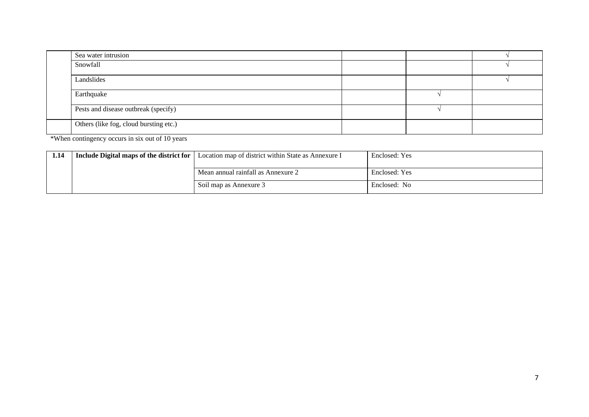| Sea water intrusion                    |  |  |
|----------------------------------------|--|--|
| Snowfall                               |  |  |
| Landslides                             |  |  |
| Earthquake                             |  |  |
| Pests and disease outbreak (specify)   |  |  |
| Others (like fog, cloud bursting etc.) |  |  |

\*When contingency occurs in six out of 10 years

| 1.14 | Include Digital maps of the district for | Location map of district within State as Annexure I | Enclosed: Yes |
|------|------------------------------------------|-----------------------------------------------------|---------------|
|      |                                          | Mean annual rainfall as Annexure 2                  | Enclosed: Yes |
|      |                                          | Soil map as Annexure 3                              | Enclosed: No  |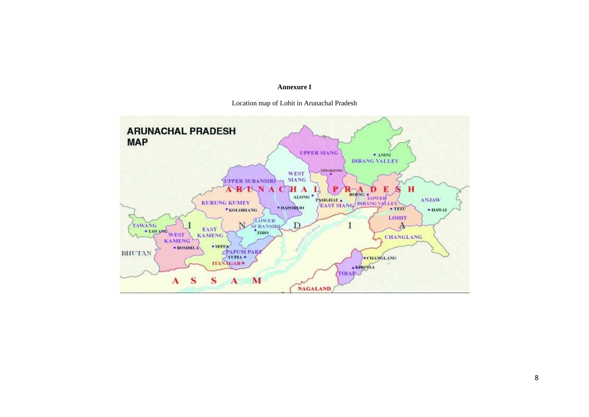#### **Annexure I**



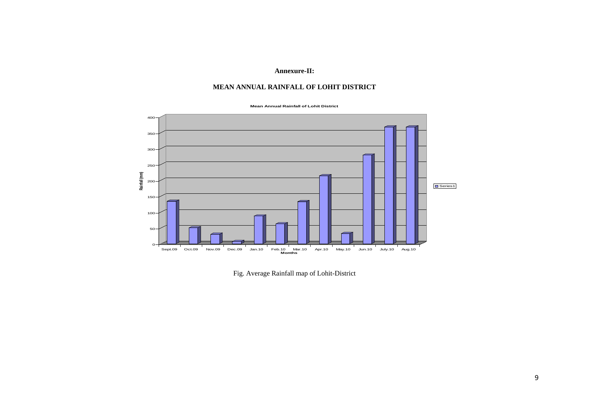#### **Annexure-II:**

#### **MEAN ANNUAL RAINFALL OF LOHIT DISTRICT**





Fig. Average Rainfall map of Lohit-District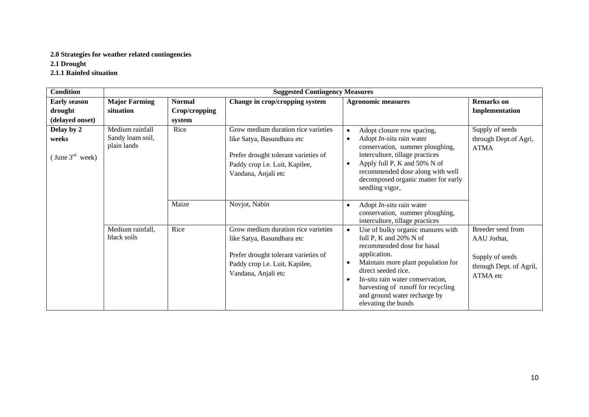### **2.0 Strategies for weather related contingencies**

**2.1 Drought**

**2.1.1 Rainfed situation**

| <b>Condition</b>     |                                                    |               | <b>Suggested Contingency Measures</b>                                                                                                                              |                                                                                                                                                                                                                                                                                                                                                |                                                                                            |
|----------------------|----------------------------------------------------|---------------|--------------------------------------------------------------------------------------------------------------------------------------------------------------------|------------------------------------------------------------------------------------------------------------------------------------------------------------------------------------------------------------------------------------------------------------------------------------------------------------------------------------------------|--------------------------------------------------------------------------------------------|
| <b>Early season</b>  | <b>Major Farming</b>                               | <b>Normal</b> | Change in crop/cropping system                                                                                                                                     | <b>Agronomic measures</b>                                                                                                                                                                                                                                                                                                                      | <b>Remarks</b> on                                                                          |
| drought              | situation                                          | Crop/cropping |                                                                                                                                                                    |                                                                                                                                                                                                                                                                                                                                                | Implementation                                                                             |
| (delayed onset)      |                                                    | system        |                                                                                                                                                                    |                                                                                                                                                                                                                                                                                                                                                |                                                                                            |
| Delay by 2<br>weeks  | Medium rainfall<br>Sandy loam soil,<br>plain lands | Rice          | Grow medium duration rice varieties<br>like Satya, Basundhara etc<br>Prefer drought tolerant varieties of                                                          | Adopt closure row spacing,<br>$\bullet$<br>Adopt In-situ rain water<br>$\bullet$<br>conservation, summer ploughing,<br>interculture, tillage practices                                                                                                                                                                                         | Supply of seeds<br>through Dept.of Agri,<br><b>ATMA</b>                                    |
| (June $3^{rd}$ week) |                                                    |               | Paddy crop i.e. Luit, Kapilee,<br>Vandana, Anjali etc                                                                                                              | Apply full P, K and 50% N of<br>$\bullet$<br>recommended dose along with well<br>decomposed organic matter for early<br>seedling vigor,                                                                                                                                                                                                        |                                                                                            |
|                      |                                                    | Maize         | Novjot, Nabin                                                                                                                                                      | Adopt In-situ rain water<br>$\bullet$<br>conservation, summer ploughing,<br>interculture, tillage practices                                                                                                                                                                                                                                    |                                                                                            |
|                      | Medium rainfall,<br>black soils                    | Rice          | Grow medium duration rice varieties<br>like Satya, Basundhara etc<br>Prefer drought tolerant varieties of<br>Paddy crop i.e. Luit, Kapilee,<br>Vandana, Anjali etc | Use of bulky organic manures with<br>$\bullet$<br>full P, K and 20% N of<br>recommended dose for basal<br>application.<br>Maintain more plant population for<br>$\bullet$<br>direct seeded rice.<br>In-situ rain water conservation,<br>$\bullet$<br>harvesting of runoff for recycling<br>and ground water recharge by<br>elevating the bunds | Breeder seed from<br>AAU Jorhat,<br>Supply of seeds<br>through Dept. of Agril,<br>ATMA etc |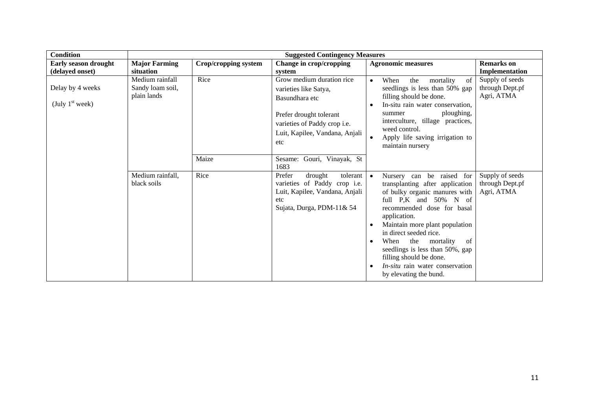| <b>Condition</b>                               |                                                    |                      | <b>Suggested Contingency Measures</b>                                                                                                                                    |                                                                                                                                                                                                                                                                                                                                                                                                                   |                                                  |
|------------------------------------------------|----------------------------------------------------|----------------------|--------------------------------------------------------------------------------------------------------------------------------------------------------------------------|-------------------------------------------------------------------------------------------------------------------------------------------------------------------------------------------------------------------------------------------------------------------------------------------------------------------------------------------------------------------------------------------------------------------|--------------------------------------------------|
| <b>Early season drought</b><br>(delayed onset) | <b>Major Farming</b><br>situation                  | Crop/cropping system | Change in crop/cropping<br>system                                                                                                                                        | <b>Agronomic measures</b>                                                                                                                                                                                                                                                                                                                                                                                         | <b>Remarks</b> on<br>Implementation              |
| Delay by 4 weeks<br>(July $1st$ week)          | Medium rainfall<br>Sandy loam soil,<br>plain lands | Rice                 | Grow medium duration rice<br>varieties like Satya,<br>Basundhara etc<br>Prefer drought tolerant<br>varieties of Paddy crop i.e.<br>Luit, Kapilee, Vandana, Anjali<br>etc | When<br>the<br>mortality<br>of<br>$\bullet$<br>seedlings is less than 50% gap<br>filling should be done.<br>In-situ rain water conservation,<br>ploughing,<br>summer<br>interculture, tillage practices,<br>weed control.<br>Apply life saving irrigation to<br>maintain nursery                                                                                                                                  | Supply of seeds<br>through Dept.pf<br>Agri, ATMA |
|                                                |                                                    | Maize                | Gouri, Vinayak, St<br>Sesame:<br>1683                                                                                                                                    |                                                                                                                                                                                                                                                                                                                                                                                                                   |                                                  |
|                                                | Medium rainfall,<br>black soils                    | Rice                 | tolerant<br>Prefer<br>drought<br>varieties of Paddy crop i.e.<br>Luit, Kapilee, Vandana, Anjali<br>etc<br>Sujata, Durga, PDM-11& 54                                      | Nursery can be raised for<br>$\bullet$<br>transplanting after application<br>of bulky organic manures with<br>full P,K and 50% N of<br>recommended dose for basal<br>application.<br>Maintain more plant population<br>in direct seeded rice.<br>When<br>the<br>mortality<br>of<br>seedlings is less than 50%, gap<br>filling should be done.<br><i>In-situ</i> rain water conservation<br>by elevating the bund. | Supply of seeds<br>through Dept.pf<br>Agri, ATMA |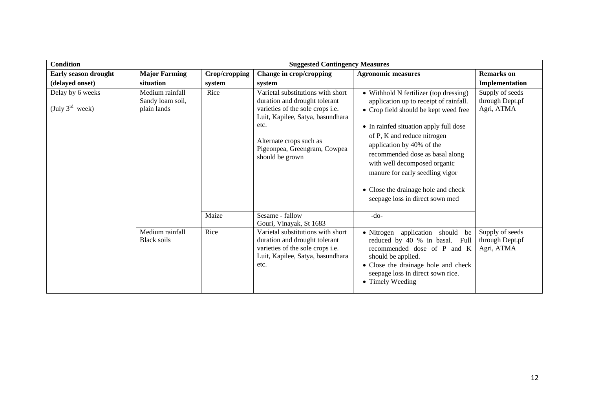| <b>Condition</b>                                |                                                    |               | <b>Suggested Contingency Measures</b>                                                                                                                                                                                            |                                                                                                                                                                                                                                                                                                                                                                                                                 |                                                  |
|-------------------------------------------------|----------------------------------------------------|---------------|----------------------------------------------------------------------------------------------------------------------------------------------------------------------------------------------------------------------------------|-----------------------------------------------------------------------------------------------------------------------------------------------------------------------------------------------------------------------------------------------------------------------------------------------------------------------------------------------------------------------------------------------------------------|--------------------------------------------------|
| Early season drought                            | <b>Major Farming</b>                               | Crop/cropping | Change in crop/cropping                                                                                                                                                                                                          | <b>Agronomic measures</b>                                                                                                                                                                                                                                                                                                                                                                                       | <b>Remarks</b> on                                |
| (delayed onset)                                 | situation                                          | system        | system                                                                                                                                                                                                                           |                                                                                                                                                                                                                                                                                                                                                                                                                 | Implementation                                   |
| Delay by 6 weeks<br>(July $3^{\text{rd}}$ week) | Medium rainfall<br>Sandy loam soil,<br>plain lands | Rice          | Varietal substitutions with short<br>duration and drought tolerant<br>varieties of the sole crops i.e.<br>Luit, Kapilee, Satya, basundhara<br>etc.<br>Alternate crops such as<br>Pigeonpea, Greengram, Cowpea<br>should be grown | • Withhold N fertilizer (top dressing)<br>application up to receipt of rainfall.<br>• Crop field should be kept weed free<br>• In rainfed situation apply full dose<br>of P, K and reduce nitrogen<br>application by 40% of the<br>recommended dose as basal along<br>with well decomposed organic<br>manure for early seedling vigor<br>• Close the drainage hole and check<br>seepage loss in direct sown med | Supply of seeds<br>through Dept.pf<br>Agri, ATMA |
|                                                 |                                                    | Maize         | Sesame - fallow<br>Gouri, Vinayak, St 1683                                                                                                                                                                                       | $-do-$                                                                                                                                                                                                                                                                                                                                                                                                          |                                                  |
|                                                 | Medium rainfall<br><b>Black soils</b>              | Rice          | Varietal substitutions with short<br>duration and drought tolerant<br>varieties of the sole crops i.e.<br>Luit, Kapilee, Satya, basundhara<br>etc.                                                                               | · Nitrogen application should<br>be<br>reduced by 40 % in basal. Full<br>recommended dose of P and K<br>should be applied.<br>• Close the drainage hole and check<br>seepage loss in direct sown rice.<br>• Timely Weeding                                                                                                                                                                                      | Supply of seeds<br>through Dept.pf<br>Agri, ATMA |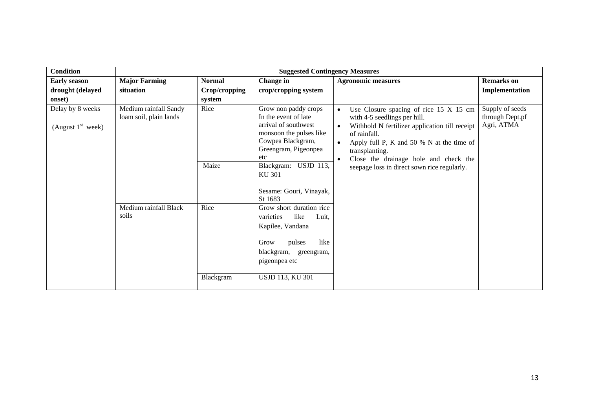| <b>Condition</b>                                  |                                                 |                                          | <b>Suggested Contingency Measures</b>                                                                                                                                                        |                                                                                                                                                                                                                                                                                                                                                     |                                                  |
|---------------------------------------------------|-------------------------------------------------|------------------------------------------|----------------------------------------------------------------------------------------------------------------------------------------------------------------------------------------------|-----------------------------------------------------------------------------------------------------------------------------------------------------------------------------------------------------------------------------------------------------------------------------------------------------------------------------------------------------|--------------------------------------------------|
| <b>Early season</b><br>drought (delayed<br>onset) | <b>Major Farming</b><br>situation               | <b>Normal</b><br>Crop/cropping<br>system | <b>Change</b> in<br>crop/cropping system                                                                                                                                                     | <b>Agronomic measures</b>                                                                                                                                                                                                                                                                                                                           | <b>Remarks</b> on<br>Implementation              |
| Delay by 8 weeks<br>(August $1st$ week)           | Medium rainfall Sandy<br>loam soil, plain lands | Rice<br>Maize                            | Grow non paddy crops<br>In the event of late<br>arrival of southwest<br>monsoon the pulses like<br>Cowpea Blackgram,<br>Greengram, Pigeonpea<br>etc<br>Blackgram: USJD 113,<br><b>KU 301</b> | Use Closure spacing of rice 15 X 15 cm<br>$\bullet$<br>with 4-5 seedlings per hill.<br>Withhold N fertilizer application till receipt<br>$\bullet$<br>of rainfall.<br>Apply full P, K and 50 % N at the time of<br>$\bullet$<br>transplanting.<br>Close the drainage hole and check the<br>$\bullet$<br>seepage loss in direct sown rice regularly. | Supply of seeds<br>through Dept.pf<br>Agri, ATMA |
|                                                   | Medium rainfall Black<br>soils                  | Rice                                     | Sesame: Gouri, Vinayak,<br>St 1683<br>Grow short duration rice<br>varieties<br>like<br>Luit.<br>Kapilee, Vandana<br>like<br>Grow<br>pulses<br>blackgram, greengram,<br>pigeonpea etc         |                                                                                                                                                                                                                                                                                                                                                     |                                                  |
|                                                   |                                                 | Blackgram                                | <b>USJD 113, KU 301</b>                                                                                                                                                                      |                                                                                                                                                                                                                                                                                                                                                     |                                                  |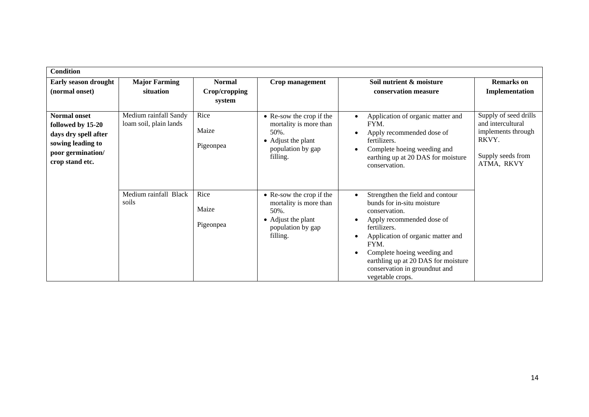| <b>Condition</b>                                                                                                              |                                                 |                                          |                                                                                                                   |                                                                                                                                                                                                                                                                                                      |                                                                                                              |
|-------------------------------------------------------------------------------------------------------------------------------|-------------------------------------------------|------------------------------------------|-------------------------------------------------------------------------------------------------------------------|------------------------------------------------------------------------------------------------------------------------------------------------------------------------------------------------------------------------------------------------------------------------------------------------------|--------------------------------------------------------------------------------------------------------------|
| Early season drought<br>(normal onset)                                                                                        | <b>Major Farming</b><br>situation               | <b>Normal</b><br>Crop/cropping<br>system | Crop management                                                                                                   | Soil nutrient & moisture<br>conservation measure                                                                                                                                                                                                                                                     | <b>Remarks</b> on<br>Implementation                                                                          |
| <b>Normal onset</b><br>followed by 15-20<br>days dry spell after<br>sowing leading to<br>poor germination/<br>crop stand etc. | Medium rainfall Sandy<br>loam soil, plain lands | Rice<br>Maize<br>Pigeonpea               | • Re-sow the crop if the<br>mortality is more than<br>50%.<br>• Adjust the plant<br>population by gap<br>filling. | Application of organic matter and<br>FYM.<br>Apply recommended dose of<br>fertilizers.<br>Complete hoeing weeding and<br>earthing up at 20 DAS for moisture<br>conservation.                                                                                                                         | Supply of seed drills<br>and intercultural<br>implements through<br>RKVY.<br>Supply seeds from<br>ATMA, RKVY |
|                                                                                                                               | Medium rainfall Black<br>soils                  | Rice<br>Maize<br>Pigeonpea               | • Re-sow the crop if the<br>mortality is more than<br>50%.<br>• Adjust the plant<br>population by gap<br>filling. | Strengthen the field and contour<br>bunds for in-situ moisture<br>conservation.<br>Apply recommended dose of<br>fertilizers.<br>Application of organic matter and<br>FYM.<br>Complete hoeing weeding and<br>earthling up at 20 DAS for moisture<br>conservation in groundnut and<br>vegetable crops. |                                                                                                              |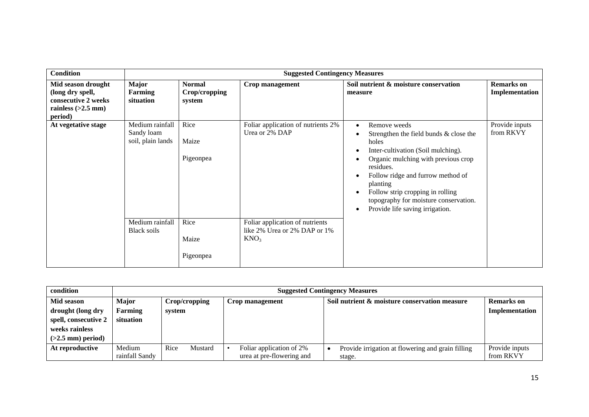| <b>Condition</b>                                                                                 |                                                    | <b>Suggested Contingency Measures</b>    |                                                                                     |                                                                                                                                                                                                                                                                                                                                         |                                     |  |  |  |
|--------------------------------------------------------------------------------------------------|----------------------------------------------------|------------------------------------------|-------------------------------------------------------------------------------------|-----------------------------------------------------------------------------------------------------------------------------------------------------------------------------------------------------------------------------------------------------------------------------------------------------------------------------------------|-------------------------------------|--|--|--|
| Mid season drought<br>(long dry spell,<br>consecutive 2 weeks<br>rainless $(>2.5$ mm)<br>period) | Major<br><b>Farming</b><br>situation               | <b>Normal</b><br>Crop/cropping<br>system | Crop management                                                                     | Soil nutrient & moisture conservation<br>measure                                                                                                                                                                                                                                                                                        | <b>Remarks</b> on<br>Implementation |  |  |  |
| At vegetative stage                                                                              | Medium rainfall<br>Sandy loam<br>soil, plain lands | Rice<br>Maize<br>Pigeonpea               | Foliar application of nutrients 2%<br>Urea or 2% DAP                                | Remove weeds<br>$\bullet$<br>Strengthen the field bunds & close the<br>holes<br>Inter-cultivation (Soil mulching).<br>Organic mulching with previous crop<br>residues.<br>Follow ridge and furrow method of<br>planting<br>Follow strip cropping in rolling<br>topography for moisture conservation.<br>Provide life saving irrigation. | Provide inputs<br>from RKVY         |  |  |  |
|                                                                                                  | Medium rainfall<br><b>Black soils</b>              | Rice<br>Maize<br>Pigeonpea               | Foliar application of nutrients<br>like 2% Urea or 2% DAP or 1%<br>KNO <sub>3</sub> |                                                                                                                                                                                                                                                                                                                                         |                                     |  |  |  |

| condition            |                          | <b>Suggested Contingency Measures</b> |                                                       |                                                             |                             |  |  |  |
|----------------------|--------------------------|---------------------------------------|-------------------------------------------------------|-------------------------------------------------------------|-----------------------------|--|--|--|
| Mid season           | <b>Major</b>             | Crop/cropping                         | Crop management                                       | Soil nutrient & moisture conservation measure               | Remarks on                  |  |  |  |
| drought (long dry    | Farming                  | system                                |                                                       |                                                             | Implementation              |  |  |  |
| spell, consecutive 2 | situation                |                                       |                                                       |                                                             |                             |  |  |  |
| weeks rainless       |                          |                                       |                                                       |                                                             |                             |  |  |  |
| $(>2.5$ mm) period)  |                          |                                       |                                                       |                                                             |                             |  |  |  |
| At reproductive      | Medium<br>rainfall Sandy | Mustard<br>Rice                       | Foliar application of 2%<br>urea at pre-flowering and | Provide irrigation at flowering and grain filling<br>stage. | Provide inputs<br>from RKVY |  |  |  |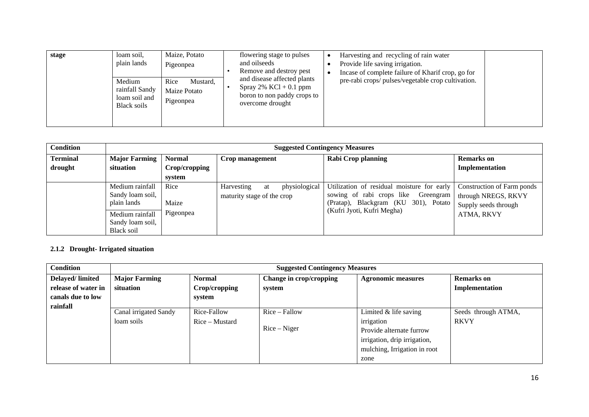| stage | loam soil.<br>plain lands<br>Medium<br>rainfall Sandy<br>loam soil and | Maize, Potato<br>Pigeonpea<br>Mustard,<br>Rice<br>Maize Potato<br>Pigeonpea | flowering stage to pulses<br>Harvesting and recycling of rain water<br>and oilseeds<br>Provide life saving irrigation.<br>Remove and destroy pest<br>Incase of complete failure of Kharif crop, go for<br>and disease affected plants<br>pre-rabi crops/ pulses/vegetable crop cultivation.<br>Spray $2\%$ KCl + 0.1 ppm<br>boron to non paddy crops to |  |
|-------|------------------------------------------------------------------------|-----------------------------------------------------------------------------|---------------------------------------------------------------------------------------------------------------------------------------------------------------------------------------------------------------------------------------------------------------------------------------------------------------------------------------------------------|--|
|       | <b>Black soils</b>                                                     |                                                                             | overcome drought                                                                                                                                                                                                                                                                                                                                        |  |

| <b>Condition</b> | <b>Suggested Contingency Measures</b>              |               |                                          |    |                           |                                                                                                                           |                                                                           |
|------------------|----------------------------------------------------|---------------|------------------------------------------|----|---------------------------|---------------------------------------------------------------------------------------------------------------------------|---------------------------------------------------------------------------|
| <b>Terminal</b>  | <b>Major Farming</b>                               | <b>Normal</b> | Crop management                          |    | <b>Rabi Crop planning</b> |                                                                                                                           | <b>Remarks</b> on                                                         |
| drought          | situation                                          | Crop/cropping |                                          |    |                           |                                                                                                                           | Implementation                                                            |
|                  |                                                    | system        |                                          |    |                           |                                                                                                                           |                                                                           |
|                  | Medium rainfall<br>Sandy loam soil,<br>plain lands | Rice<br>Maize | Harvesting<br>maturity stage of the crop | at | physiological             | Utilization of residual moisture for early<br>sowing of rabi crops like Greengram<br>(Pratap), Blackgram (KU 301), Potato | Construction of Farm ponds<br>through NREGS, RKVY<br>Supply seeds through |
|                  | Medium rainfall<br>Sandy loam soil,<br>Black soil  | Pigeonpea     |                                          |    |                           | (Kufri Jyoti, Kufri Megha)                                                                                                | ATMA, RKVY                                                                |

### **2.1.2 Drought- Irrigated situation**

| <b>Condition</b>    | <b>Suggested Contingency Measures</b> |                  |                         |                              |                     |  |  |
|---------------------|---------------------------------------|------------------|-------------------------|------------------------------|---------------------|--|--|
| Delayed/limited     | <b>Major Farming</b>                  | <b>Normal</b>    | Change in crop/cropping | <b>Agronomic measures</b>    | <b>Remarks</b> on   |  |  |
| release of water in | situation                             | Crop/cropping    | system                  |                              | Implementation      |  |  |
| canals due to low   |                                       | system           |                         |                              |                     |  |  |
| rainfall            | Canal irrigated Sandy                 | Rice-Fallow      | $Rice - Fallow$         | Limited $&$ life saving      | Seeds through ATMA, |  |  |
|                     | loam soils                            |                  |                         |                              | <b>RKVY</b>         |  |  |
|                     |                                       | $Rice$ – Mustard | $Rice-Niger$            | irrigation                   |                     |  |  |
|                     |                                       |                  |                         | Provide alternate furrow     |                     |  |  |
|                     |                                       |                  |                         | irrigation, drip irrigation, |                     |  |  |
|                     |                                       |                  |                         | mulching, Irrigation in root |                     |  |  |
|                     |                                       |                  |                         | zone                         |                     |  |  |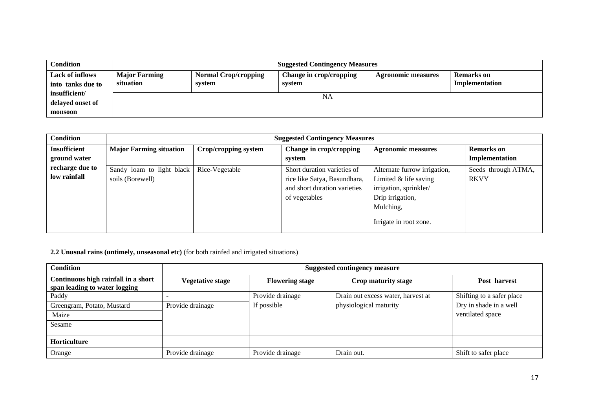| <b>Condition</b>                             | <b>Suggested Contingency Measures</b> |                                       |                                   |                           |                                     |  |  |
|----------------------------------------------|---------------------------------------|---------------------------------------|-----------------------------------|---------------------------|-------------------------------------|--|--|
| <b>Lack of inflows</b><br>into tanks due to  | <b>Major Farming</b><br>situation     | <b>Normal Crop/cropping</b><br>system | Change in crop/cropping<br>system | <b>Agronomic measures</b> | <b>Remarks</b> on<br>Implementation |  |  |
| insufficient/<br>delayed onset of<br>monsoon |                                       |                                       | NA                                |                           |                                     |  |  |

| <b>Condition</b>    | <b>Suggested Contingency Measures</b> |                      |                              |                              |                     |  |
|---------------------|---------------------------------------|----------------------|------------------------------|------------------------------|---------------------|--|
| <b>Insufficient</b> | <b>Major Farming situation</b>        | Crop/cropping system | Change in crop/cropping      | <b>Agronomic measures</b>    | <b>Remarks</b> on   |  |
| ground water        |                                       |                      | system                       |                              | Implementation      |  |
| recharge due to     | Sandy loam to light black             | Rice-Vegetable       | Short duration varieties of  | Alternate furrow irrigation, | Seeds through ATMA, |  |
| low rainfall        | soils (Borewell)                      |                      | rice like Satya, Basundhara, | Limited $&$ life saving      | <b>RKVY</b>         |  |
|                     |                                       |                      | and short duration varieties | irrigation, sprinkler/       |                     |  |
|                     |                                       |                      | of vegetables                | Drip irrigation,             |                     |  |
|                     |                                       |                      |                              | Mulching,                    |                     |  |
|                     |                                       |                      |                              | Irrigate in root zone.       |                     |  |

**2.2 Unusual rains (untimely, unseasonal etc)** (for both rainfed and irrigated situations)

| <b>Condition</b>                                                     | <b>Suggested contingency measure</b> |                        |                                    |                           |  |  |
|----------------------------------------------------------------------|--------------------------------------|------------------------|------------------------------------|---------------------------|--|--|
| Continuous high rainfall in a short<br>span leading to water logging | <b>Vegetative stage</b>              | <b>Flowering stage</b> | Crop maturity stage                | Post harvest              |  |  |
| Paddy                                                                |                                      | Provide drainage       | Drain out excess water, harvest at | Shifting to a safer place |  |  |
| Greengram, Potato, Mustard                                           | Provide drainage                     | If possible            | physiological maturity             | Dry in shade in a well    |  |  |
| Maize                                                                |                                      |                        |                                    | ventilated space          |  |  |
| Sesame                                                               |                                      |                        |                                    |                           |  |  |
| Horticulture                                                         |                                      |                        |                                    |                           |  |  |
| Orange                                                               | Provide drainage                     | Provide drainage       | Drain out.                         | Shift to safer place      |  |  |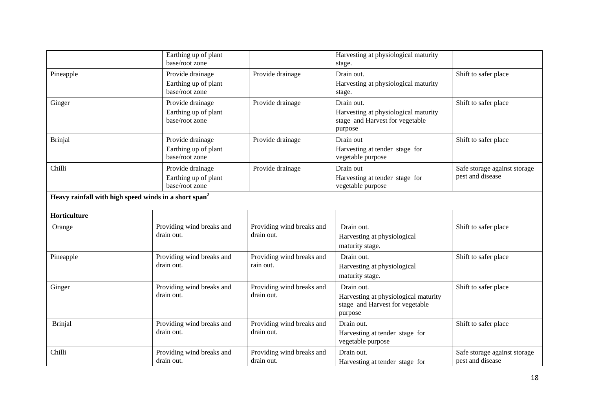|                                                                   | Earthing up of plant<br>base/root zone                     |                                         | Harvesting at physiological maturity<br>stage.                                                   |                                                  |
|-------------------------------------------------------------------|------------------------------------------------------------|-----------------------------------------|--------------------------------------------------------------------------------------------------|--------------------------------------------------|
| Pineapple                                                         | Provide drainage<br>Earthing up of plant<br>base/root zone | Provide drainage                        | Drain out.<br>Harvesting at physiological maturity<br>stage.                                     | Shift to safer place                             |
| Ginger                                                            | Provide drainage<br>Earthing up of plant<br>base/root zone | Provide drainage                        | Drain out.<br>Harvesting at physiological maturity<br>stage and Harvest for vegetable<br>purpose | Shift to safer place                             |
| <b>Brinjal</b>                                                    | Provide drainage<br>Earthing up of plant<br>base/root zone | Provide drainage                        | Drain out<br>Harvesting at tender stage for<br>vegetable purpose                                 | Shift to safer place                             |
| Chilli                                                            | Provide drainage<br>Earthing up of plant<br>base/root zone | Provide drainage                        | Drain out<br>Harvesting at tender stage for<br>vegetable purpose                                 | Safe storage against storage<br>pest and disease |
| Heavy rainfall with high speed winds in a short span <sup>2</sup> |                                                            |                                         |                                                                                                  |                                                  |
| Horticulture                                                      |                                                            |                                         |                                                                                                  |                                                  |
| Orange                                                            | Providing wind breaks and<br>drain out.                    | Providing wind breaks and<br>drain out. | Drain out.<br>Harvesting at physiological<br>maturity stage.                                     | Shift to safer place                             |
| Pineapple                                                         | Providing wind breaks and<br>drain out.                    | Providing wind breaks and<br>rain out.  | Drain out.<br>Harvesting at physiological<br>maturity stage.                                     | Shift to safer place                             |
| Ginger                                                            | Providing wind breaks and<br>drain out.                    | Providing wind breaks and<br>drain out. | Drain out.<br>Harvesting at physiological maturity<br>stage and Harvest for vegetable<br>purpose | Shift to safer place                             |
| <b>Brinjal</b>                                                    | Providing wind breaks and<br>drain out.                    | Providing wind breaks and<br>drain out. | Drain out.<br>Harvesting at tender stage for<br>vegetable purpose                                | Shift to safer place                             |
| Chilli                                                            | Providing wind breaks and<br>drain out.                    | Providing wind breaks and<br>drain out. | Drain out.<br>Harvesting at tender stage for                                                     | Safe storage against storage<br>pest and disease |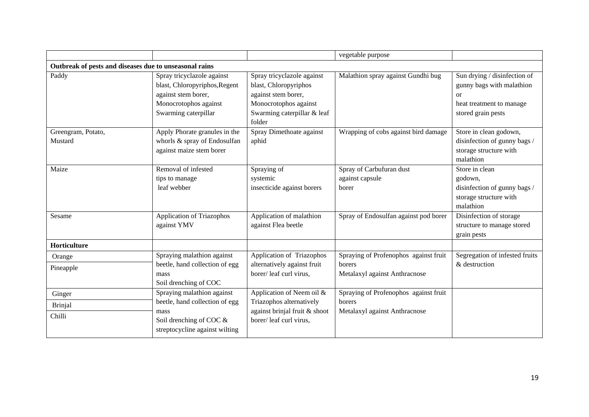|                                                        |                                                                                                                                     |                                                                                                                                              | vegetable purpose                                                                |                                                                                                                          |
|--------------------------------------------------------|-------------------------------------------------------------------------------------------------------------------------------------|----------------------------------------------------------------------------------------------------------------------------------------------|----------------------------------------------------------------------------------|--------------------------------------------------------------------------------------------------------------------------|
| Outbreak of pests and diseases due to unseasonal rains |                                                                                                                                     |                                                                                                                                              |                                                                                  |                                                                                                                          |
| Paddy                                                  | Spray tricyclazole against<br>blast, Chloropyriphos, Regent<br>against stem borer,<br>Monocrotophos against<br>Swarming caterpillar | Spray tricyclazole against<br>blast, Chloropyriphos<br>against stem borer,<br>Monocrotophos against<br>Swarming caterpillar & leaf<br>folder | Malathion spray against Gundhi bug                                               | Sun drying / disinfection of<br>gunny bags with malathion<br><b>or</b><br>heat treatment to manage<br>stored grain pests |
| Greengram, Potato,<br>Mustard                          | Apply Phorate granules in the<br>whorls & spray of Endosulfan<br>against maize stem borer                                           | Spray Dimethoate against<br>aphid                                                                                                            | Wrapping of cobs against bird damage                                             | Store in clean godown,<br>disinfection of gunny bags /<br>storage structure with<br>malathion                            |
| Maize                                                  | Removal of infested<br>tips to manage<br>leaf webber                                                                                | Spraying of<br>systemic<br>insecticide against borers                                                                                        | Spray of Carbufuran dust<br>against capsule<br>borer                             | Store in clean<br>godown,<br>disinfection of gunny bags /<br>storage structure with<br>malathion                         |
| Sesame                                                 | <b>Application of Triazophos</b><br>against YMV                                                                                     | Application of malathion<br>against Flea beetle                                                                                              | Spray of Endosulfan against pod borer                                            | Disinfection of storage<br>structure to manage stored<br>grain pests                                                     |
| Horticulture                                           |                                                                                                                                     |                                                                                                                                              |                                                                                  |                                                                                                                          |
| Orange<br>Pineapple                                    | Spraying malathion against<br>beetle, hand collection of egg<br>mass<br>Soil drenching of COC                                       | Application of Triazophos<br>alternatively against fruit<br>borer/leaf curl virus,                                                           | Spraying of Profenophos against fruit<br>borers<br>Metalaxyl against Anthracnose | Segregation of infested fruits<br>& destruction                                                                          |
| Ginger<br><b>Brinjal</b><br>Chilli                     | Spraying malathion against<br>beetle, hand collection of egg<br>mass<br>Soil drenching of COC &<br>streptocycline against wilting   | Application of Neem oil &<br>Triazophos alternatively<br>against brinjal fruit & shoot<br>borer/leaf curl virus.                             | Spraying of Profenophos against fruit<br>borers<br>Metalaxyl against Anthracnose |                                                                                                                          |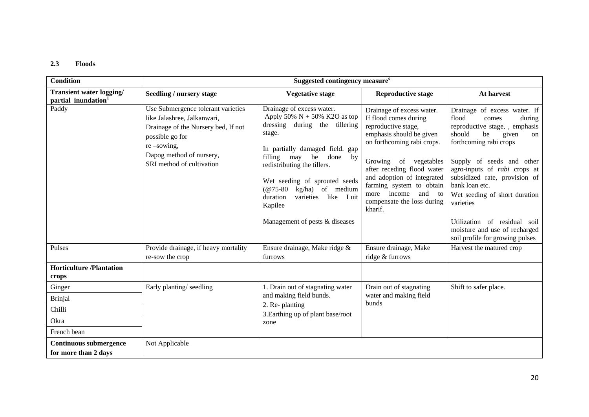### **2.3 Floods**

| <b>Condition</b>                                                   |                                                                                                                                                                                                       | Suggested contingency measure <sup>o</sup>                                                                                                                                                                                                                                                                                                                                |                                                                                                                                                                                                                                                                                                                        |                                                                                                                                                                                                                                                                                                                                                                                                                              |
|--------------------------------------------------------------------|-------------------------------------------------------------------------------------------------------------------------------------------------------------------------------------------------------|---------------------------------------------------------------------------------------------------------------------------------------------------------------------------------------------------------------------------------------------------------------------------------------------------------------------------------------------------------------------------|------------------------------------------------------------------------------------------------------------------------------------------------------------------------------------------------------------------------------------------------------------------------------------------------------------------------|------------------------------------------------------------------------------------------------------------------------------------------------------------------------------------------------------------------------------------------------------------------------------------------------------------------------------------------------------------------------------------------------------------------------------|
| <b>Transient water logging/</b><br>partial inundation <sup>1</sup> | Seedling / nursery stage                                                                                                                                                                              | <b>Vegetative stage</b>                                                                                                                                                                                                                                                                                                                                                   | <b>Reproductive stage</b>                                                                                                                                                                                                                                                                                              | At harvest                                                                                                                                                                                                                                                                                                                                                                                                                   |
| Paddy                                                              | Use Submergence tolerant varieties<br>like Jalashree, Jalkanwari,<br>Drainage of the Nursery bed, If not<br>possible go for<br>$re$ -sowing,<br>Dapog method of nursery,<br>SRI method of cultivation | Drainage of excess water.<br>Apply 50% $N + 50%$ K2O as top<br>dressing during the tillering<br>stage.<br>In partially damaged field. gap<br>filling may<br>be<br>done<br>by<br>redistributing the tillers.<br>Wet seeding of sprouted seeds<br>kg/ha) of medium<br>$(\omega$ 75-80<br>duration<br>varieties<br>like<br>Luit<br>Kapilee<br>Management of pests & diseases | Drainage of excess water.<br>If flood comes during<br>reproductive stage,<br>emphasis should be given<br>on forthcoming rabi crops.<br>Growing of vegetables<br>after receding flood water<br>and adoption of integrated<br>farming system to obtain<br>and to<br>more income<br>compensate the loss during<br>kharif. | Drainage of excess water. If<br>flood<br>comes<br>during<br>reproductive stage, , emphasis<br>should<br>be<br>given<br>on<br>forthcoming rabi crops<br>Supply of seeds and other<br>agro-inputs of <i>rabi</i> crops at<br>subsidized rate, provision of<br>bank loan etc.<br>Wet seeding of short duration<br>varieties<br>Utilization of residual soil<br>moisture and use of recharged<br>soil profile for growing pulses |
| Pulses                                                             | Provide drainage, if heavy mortality<br>re-sow the crop                                                                                                                                               | Ensure drainage, Make ridge &<br>furrows                                                                                                                                                                                                                                                                                                                                  | Ensure drainage, Make<br>ridge & furrows                                                                                                                                                                                                                                                                               | Harvest the matured crop                                                                                                                                                                                                                                                                                                                                                                                                     |
| <b>Horticulture</b> /Plantation<br>crops                           |                                                                                                                                                                                                       |                                                                                                                                                                                                                                                                                                                                                                           |                                                                                                                                                                                                                                                                                                                        |                                                                                                                                                                                                                                                                                                                                                                                                                              |
| Ginger                                                             | Early planting/seedling                                                                                                                                                                               | 1. Drain out of stagnating water                                                                                                                                                                                                                                                                                                                                          | Drain out of stagnating                                                                                                                                                                                                                                                                                                | Shift to safer place.                                                                                                                                                                                                                                                                                                                                                                                                        |
| <b>Brinjal</b>                                                     |                                                                                                                                                                                                       | and making field bunds.                                                                                                                                                                                                                                                                                                                                                   | water and making field<br>bunds                                                                                                                                                                                                                                                                                        |                                                                                                                                                                                                                                                                                                                                                                                                                              |
| Chilli                                                             |                                                                                                                                                                                                       | 2. Re-planting<br>3. Earthing up of plant base/root                                                                                                                                                                                                                                                                                                                       |                                                                                                                                                                                                                                                                                                                        |                                                                                                                                                                                                                                                                                                                                                                                                                              |
| Okra                                                               |                                                                                                                                                                                                       | zone                                                                                                                                                                                                                                                                                                                                                                      |                                                                                                                                                                                                                                                                                                                        |                                                                                                                                                                                                                                                                                                                                                                                                                              |
| French bean                                                        |                                                                                                                                                                                                       |                                                                                                                                                                                                                                                                                                                                                                           |                                                                                                                                                                                                                                                                                                                        |                                                                                                                                                                                                                                                                                                                                                                                                                              |
| <b>Continuous submergence</b><br>for more than 2 days              | Not Applicable                                                                                                                                                                                        |                                                                                                                                                                                                                                                                                                                                                                           |                                                                                                                                                                                                                                                                                                                        |                                                                                                                                                                                                                                                                                                                                                                                                                              |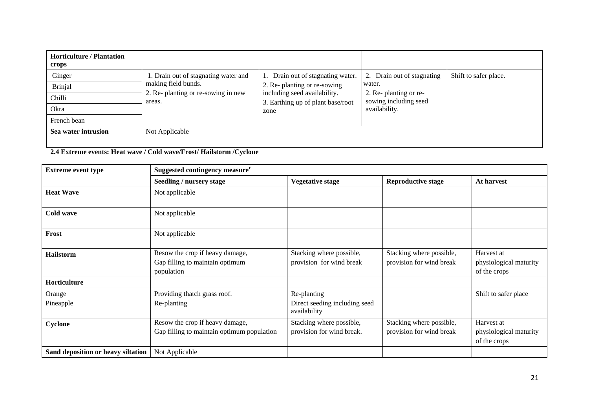| <b>Horticulture / Plantation</b><br>crops          |                                                                                                              |                                                                                                                                             |                                                                                                       |                       |
|----------------------------------------------------|--------------------------------------------------------------------------------------------------------------|---------------------------------------------------------------------------------------------------------------------------------------------|-------------------------------------------------------------------------------------------------------|-----------------------|
| Ginger<br>Brinjal<br>Chilli<br>Okra<br>French bean | 1. Drain out of stagnating water and<br>making field bunds.<br>2. Re- planting or re-sowing in new<br>areas. | Drain out of stagnating water.<br>2. Re- planting or re-sowing<br>including seed availability.<br>3. Earthing up of plant base/root<br>zone | Drain out of stagnating<br>water.<br>2. Re- planting or re-<br>sowing including seed<br>availability. | Shift to safer place. |
| Sea water intrusion                                | Not Applicable                                                                                               |                                                                                                                                             |                                                                                                       |                       |

**2.4 Extreme events: Heat wave / Cold wave/Frost/ Hailstorm /Cyclone**

| <b>Extreme event type</b>          | Suggested contingency measure <sup>r</sup>                                       |                                                              |                                                      |                                                      |  |  |  |
|------------------------------------|----------------------------------------------------------------------------------|--------------------------------------------------------------|------------------------------------------------------|------------------------------------------------------|--|--|--|
|                                    | Seedling / nursery stage                                                         | <b>Vegetative stage</b>                                      | <b>Reproductive stage</b>                            | At harvest                                           |  |  |  |
| <b>Heat Wave</b>                   | Not applicable                                                                   |                                                              |                                                      |                                                      |  |  |  |
| Cold wave                          | Not applicable                                                                   |                                                              |                                                      |                                                      |  |  |  |
| Frost                              | Not applicable                                                                   |                                                              |                                                      |                                                      |  |  |  |
| <b>Hailstorm</b>                   | Resow the crop if heavy damage,<br>Gap filling to maintain optimum<br>population | Stacking where possible,<br>provision for wind break         | Stacking where possible,<br>provision for wind break | Harvest at<br>physiological maturity<br>of the crops |  |  |  |
| Horticulture                       |                                                                                  |                                                              |                                                      |                                                      |  |  |  |
| Orange<br>Pineapple                | Providing thatch grass roof.<br>Re-planting                                      | Re-planting<br>Direct seeding including seed<br>availability |                                                      | Shift to safer place                                 |  |  |  |
| Cyclone                            | Resow the crop if heavy damage,<br>Gap filling to maintain optimum population    | Stacking where possible,<br>provision for wind break.        | Stacking where possible,<br>provision for wind break | Harvest at<br>physiological maturity<br>of the crops |  |  |  |
| Sand deposition or heavy siltation | Not Applicable                                                                   |                                                              |                                                      |                                                      |  |  |  |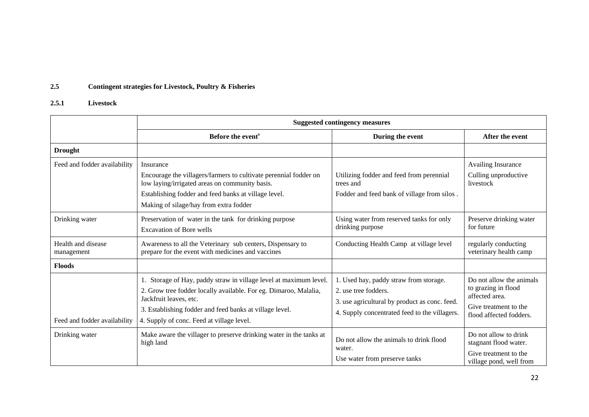# **2.5 Contingent strategies for Livestock, Poultry & Fisheries**

# **2.5.1 Livestock**

|                                  | <b>Suggested contingency measures</b>                                                                                                                                                                                                                                   |                                                                                                                                                                  |                                                                                                                       |  |
|----------------------------------|-------------------------------------------------------------------------------------------------------------------------------------------------------------------------------------------------------------------------------------------------------------------------|------------------------------------------------------------------------------------------------------------------------------------------------------------------|-----------------------------------------------------------------------------------------------------------------------|--|
|                                  | Before the event <sup>s</sup>                                                                                                                                                                                                                                           | During the event                                                                                                                                                 | After the event                                                                                                       |  |
| <b>Drought</b>                   |                                                                                                                                                                                                                                                                         |                                                                                                                                                                  |                                                                                                                       |  |
| Feed and fodder availability     | Insurance<br>Encourage the villagers/farmers to cultivate perennial fodder on<br>low laying/irrigated areas on community basis.<br>Establishing fodder and feed banks at village level.<br>Making of silage/hay from extra fodder                                       | Utilizing fodder and feed from perennial<br>trees and<br>Fodder and feed bank of village from silos.                                                             | <b>Availing Insurance</b><br>Culling unproductive<br>livestock                                                        |  |
| Drinking water                   | Preservation of water in the tank for drinking purpose<br><b>Excavation of Bore wells</b>                                                                                                                                                                               | Using water from reserved tanks for only<br>drinking purpose                                                                                                     | Preserve drinking water<br>for future                                                                                 |  |
| Health and disease<br>management | Awareness to all the Veterinary sub centers, Dispensary to<br>prepare for the event with medicines and vaccines                                                                                                                                                         | Conducting Health Camp at village level                                                                                                                          | regularly conducting<br>veterinary health camp                                                                        |  |
| <b>Floods</b>                    |                                                                                                                                                                                                                                                                         |                                                                                                                                                                  |                                                                                                                       |  |
| Feed and fodder availability     | 1. Storage of Hay, paddy straw in village level at maximum level.<br>2. Grow tree fodder locally available. For eg. Dimaroo, Malalia,<br>Jackfruit leaves, etc.<br>3. Establishing fodder and feed banks at village level.<br>4. Supply of conc. Feed at village level. | 1. Used hay, paddy straw from storage.<br>2. use tree fodders.<br>3. use agricultural by product as conc. feed.<br>4. Supply concentrated feed to the villagers. | Do not allow the animals<br>to grazing in flood<br>affected area.<br>Give treatment to the<br>flood affected fodders. |  |
| Drinking water                   | Make aware the villager to preserve drinking water in the tanks at<br>high land                                                                                                                                                                                         | Do not allow the animals to drink flood<br>water.<br>Use water from preserve tanks                                                                               | Do not allow to drink<br>stagnant flood water.<br>Give treatment to the<br>village pond, well from                    |  |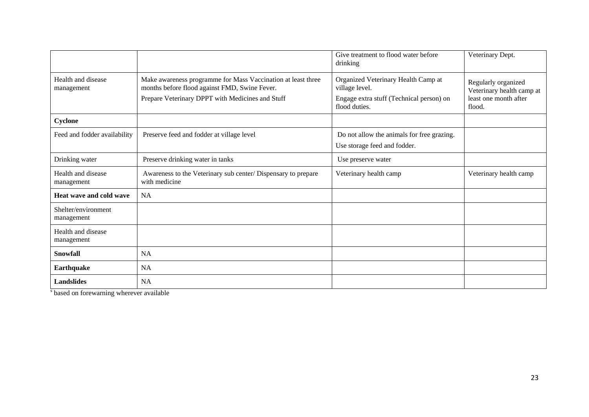|                                   |                                                                                                                                                                   | Give treatment to flood water before<br>drinking                                                                   | Veterinary Dept.                                                                    |
|-----------------------------------|-------------------------------------------------------------------------------------------------------------------------------------------------------------------|--------------------------------------------------------------------------------------------------------------------|-------------------------------------------------------------------------------------|
| Health and disease<br>management  | Make awareness programme for Mass Vaccination at least three<br>months before flood against FMD, Swine Fever.<br>Prepare Veterinary DPPT with Medicines and Stuff | Organized Veterinary Health Camp at<br>village level.<br>Engage extra stuff (Technical person) on<br>flood duties. | Regularly organized<br>Veterinary health camp at<br>least one month after<br>flood. |
| Cyclone                           |                                                                                                                                                                   |                                                                                                                    |                                                                                     |
| Feed and fodder availability      | Preserve feed and fodder at village level                                                                                                                         | Do not allow the animals for free grazing.<br>Use storage feed and fodder.                                         |                                                                                     |
| Drinking water                    | Preserve drinking water in tanks                                                                                                                                  | Use preserve water                                                                                                 |                                                                                     |
| Health and disease<br>management  | Awareness to the Veterinary sub center/ Dispensary to prepare<br>with medicine                                                                                    | Veterinary health camp                                                                                             | Veterinary health camp                                                              |
| Heat wave and cold wave           | <b>NA</b>                                                                                                                                                         |                                                                                                                    |                                                                                     |
| Shelter/environment<br>management |                                                                                                                                                                   |                                                                                                                    |                                                                                     |
| Health and disease<br>management  |                                                                                                                                                                   |                                                                                                                    |                                                                                     |
| Snowfall                          | <b>NA</b>                                                                                                                                                         |                                                                                                                    |                                                                                     |
| <b>Earthquake</b>                 | <b>NA</b>                                                                                                                                                         |                                                                                                                    |                                                                                     |
| <b>Landslides</b>                 | <b>NA</b>                                                                                                                                                         |                                                                                                                    |                                                                                     |

s based on forewarning wherever available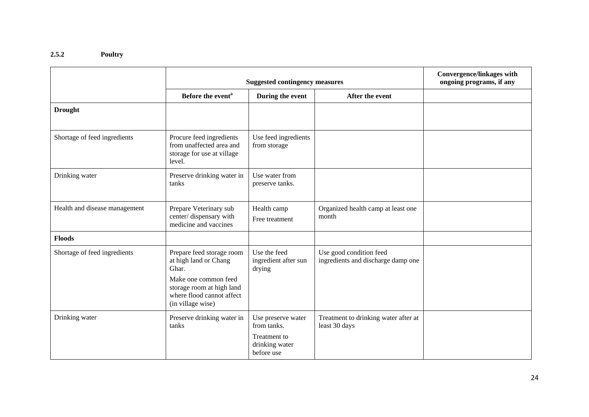### **2.5.2 Poultry**

|                               | <b>Suggested contingency measures</b>                                                                                                                              |                                                                                   |                                                               | <b>Convergence/linkages with</b><br>ongoing programs, if any |
|-------------------------------|--------------------------------------------------------------------------------------------------------------------------------------------------------------------|-----------------------------------------------------------------------------------|---------------------------------------------------------------|--------------------------------------------------------------|
|                               | Before the event <sup>a</sup>                                                                                                                                      | During the event                                                                  | After the event                                               |                                                              |
| <b>Drought</b>                |                                                                                                                                                                    |                                                                                   |                                                               |                                                              |
| Shortage of feed ingredients  | Procure feed ingredients<br>from unaffected area and<br>storage for use at village<br>level.                                                                       | Use feed ingredients<br>from storage                                              |                                                               |                                                              |
| Drinking water                | Preserve drinking water in<br>tanks                                                                                                                                | Use water from<br>preserve tanks.                                                 |                                                               |                                                              |
| Health and disease management | Prepare Veterinary sub<br>center/dispensary with<br>medicine and vaccines                                                                                          | Health camp<br>Free treatment                                                     | Organized health camp at least one<br>month                   |                                                              |
| <b>Floods</b>                 |                                                                                                                                                                    |                                                                                   |                                                               |                                                              |
| Shortage of feed ingredients  | Prepare feed storage room<br>at high land or Chang<br>Ghar.<br>Make one common feed<br>storage room at high land<br>where flood cannot affect<br>(in village wise) | Use the feed<br>ingredient after sun<br>drying                                    | Use good condition feed<br>ingredients and discharge damp one |                                                              |
| Drinking water                | Preserve drinking water in<br>tanks                                                                                                                                | Use preserve water<br>from tanks.<br>Treatment to<br>drinking water<br>before use | Treatment to drinking water after at<br>least 30 days         |                                                              |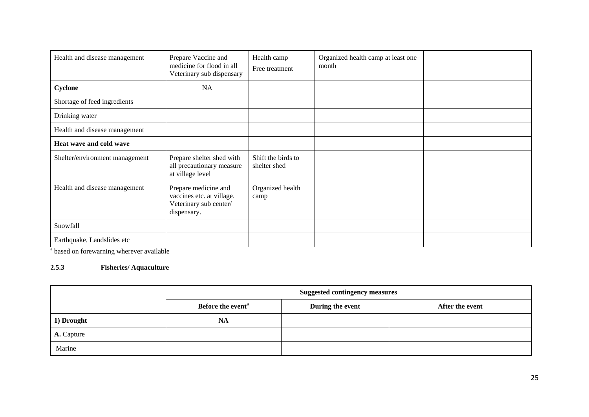| Health and disease management  | Prepare Vaccine and<br>medicine for flood in all<br>Veterinary sub dispensary              | Health camp<br>Free treatment      | Organized health camp at least one<br>month |  |
|--------------------------------|--------------------------------------------------------------------------------------------|------------------------------------|---------------------------------------------|--|
| Cyclone                        | <b>NA</b>                                                                                  |                                    |                                             |  |
| Shortage of feed ingredients   |                                                                                            |                                    |                                             |  |
| Drinking water                 |                                                                                            |                                    |                                             |  |
| Health and disease management  |                                                                                            |                                    |                                             |  |
| Heat wave and cold wave        |                                                                                            |                                    |                                             |  |
| Shelter/environment management | Prepare shelter shed with<br>all precautionary measure<br>at village level                 | Shift the birds to<br>shelter shed |                                             |  |
| Health and disease management  | Prepare medicine and<br>vaccines etc. at village.<br>Veterinary sub center/<br>dispensary. | Organized health<br>camp           |                                             |  |
| Snowfall                       |                                                                                            |                                    |                                             |  |
| Earthquake, Landslides etc     |                                                                                            |                                    |                                             |  |

<sup>a</sup> based on forewarning wherever available

# **2.5.3 Fisheries/ Aquaculture**

|            | <b>Suggested contingency measures</b> |                  |                 |
|------------|---------------------------------------|------------------|-----------------|
|            | Before the event <sup>a</sup>         | During the event | After the event |
| 1) Drought | <b>NA</b>                             |                  |                 |
| A. Capture |                                       |                  |                 |
| Marine     |                                       |                  |                 |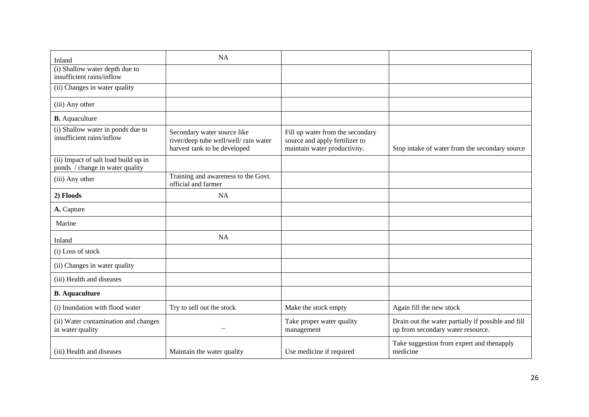| Inland                                                                  | <b>NA</b>                                                                                            |                                                                                                    |                                                                                         |
|-------------------------------------------------------------------------|------------------------------------------------------------------------------------------------------|----------------------------------------------------------------------------------------------------|-----------------------------------------------------------------------------------------|
| (i) Shallow water depth due to<br>insufficient rains/inflow             |                                                                                                      |                                                                                                    |                                                                                         |
| (ii) Changes in water quality                                           |                                                                                                      |                                                                                                    |                                                                                         |
| (iii) Any other                                                         |                                                                                                      |                                                                                                    |                                                                                         |
| <b>B.</b> Aquaculture                                                   |                                                                                                      |                                                                                                    |                                                                                         |
| (i) Shallow water in ponds due to<br>insufficient rains/inflow          | Secondary water source like<br>river/deep tube well/well/ rain water<br>harvest tank to be developed | Fill up water from the secondary<br>source and apply fertilizer to<br>maintain water productivity. | Stop intake of water from the secondary source                                          |
| (ii) Impact of salt load build up in<br>ponds / change in water quality |                                                                                                      |                                                                                                    |                                                                                         |
| (iii) Any other                                                         | Training and awareness to the Govt.<br>official and farmer                                           |                                                                                                    |                                                                                         |
| 2) Floods                                                               | <b>NA</b>                                                                                            |                                                                                                    |                                                                                         |
| A. Capture                                                              |                                                                                                      |                                                                                                    |                                                                                         |
| Marine                                                                  |                                                                                                      |                                                                                                    |                                                                                         |
| Inland                                                                  | <b>NA</b>                                                                                            |                                                                                                    |                                                                                         |
| (i) Loss of stock                                                       |                                                                                                      |                                                                                                    |                                                                                         |
| (ii) Changes in water quality                                           |                                                                                                      |                                                                                                    |                                                                                         |
| (iii) Health and diseases                                               |                                                                                                      |                                                                                                    |                                                                                         |
| <b>B.</b> Aquaculture                                                   |                                                                                                      |                                                                                                    |                                                                                         |
| (i) Inundation with flood water                                         | Try to sell out the stock                                                                            | Make the stock empty                                                                               | Again fill the new stock                                                                |
| (ii) Water contamination and changes<br>in water quality                |                                                                                                      | Take proper water quality<br>management                                                            | Drain out the water partially if possible and fill<br>up from secondary water resource. |
| (iii) Health and diseases                                               | Maintain the water quality                                                                           | Use medicine if required                                                                           | Take suggestion from expert and thenapply<br>medicine                                   |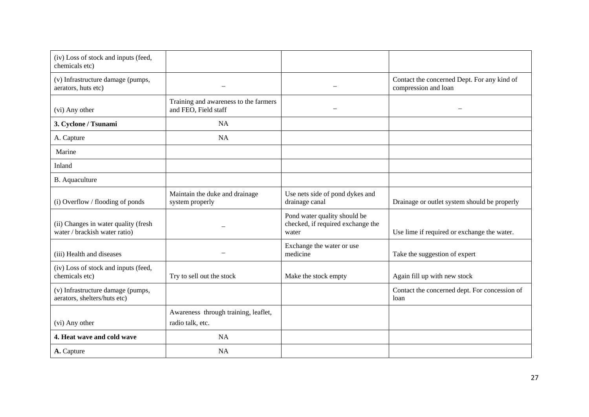| (iv) Loss of stock and inputs (feed,<br>chemicals etc)                |                                                               |                                                                            |                                                                     |
|-----------------------------------------------------------------------|---------------------------------------------------------------|----------------------------------------------------------------------------|---------------------------------------------------------------------|
| (v) Infrastructure damage (pumps,<br>aerators, huts etc)              |                                                               |                                                                            | Contact the concerned Dept. For any kind of<br>compression and loan |
| (vi) Any other                                                        | Training and awareness to the farmers<br>and FEO, Field staff |                                                                            |                                                                     |
| 3. Cyclone / Tsunami                                                  | <b>NA</b>                                                     |                                                                            |                                                                     |
| A. Capture                                                            | <b>NA</b>                                                     |                                                                            |                                                                     |
| Marine                                                                |                                                               |                                                                            |                                                                     |
| Inland                                                                |                                                               |                                                                            |                                                                     |
| B. Aquaculture                                                        |                                                               |                                                                            |                                                                     |
| (i) Overflow / flooding of ponds                                      | Maintain the duke and drainage<br>system properly             | Use nets side of pond dykes and<br>drainage canal                          | Drainage or outlet system should be properly                        |
| (ii) Changes in water quality (fresh<br>water / brackish water ratio) |                                                               | Pond water quality should be<br>checked, if required exchange the<br>water | Use lime if required or exchange the water.                         |
| (iii) Health and diseases                                             |                                                               | Exchange the water or use<br>medicine                                      | Take the suggestion of expert                                       |
| (iv) Loss of stock and inputs (feed,<br>chemicals etc)                | Try to sell out the stock                                     | Make the stock empty                                                       | Again fill up with new stock                                        |
| (v) Infrastructure damage (pumps,<br>aerators, shelters/huts etc)     |                                                               |                                                                            | Contact the concerned dept. For concession of<br>loan               |
| (vi) Any other                                                        | Awareness through training, leaflet,<br>radio talk, etc.      |                                                                            |                                                                     |
| 4. Heat wave and cold wave                                            | <b>NA</b>                                                     |                                                                            |                                                                     |
| A. Capture                                                            | <b>NA</b>                                                     |                                                                            |                                                                     |